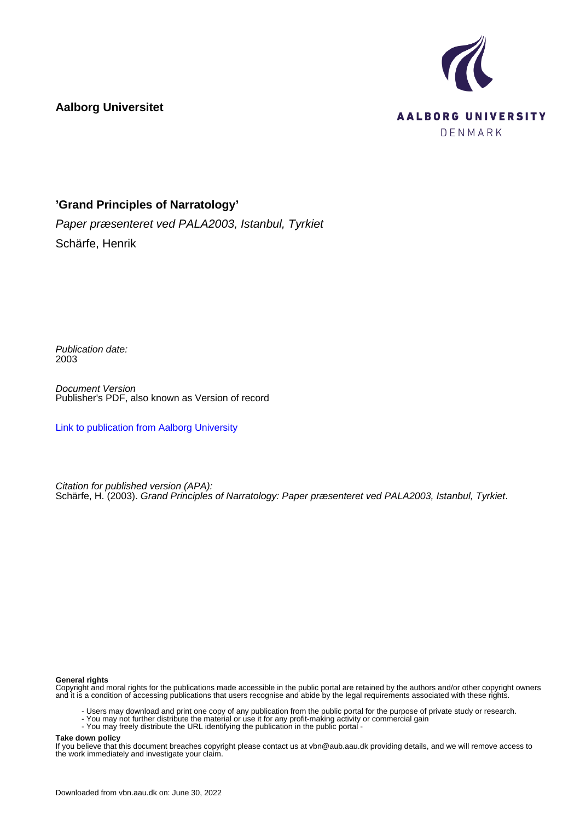

# **Aalborg Universitet**

# **'Grand Principles of Narratology'**

Paper præsenteret ved PALA2003, Istanbul, Tyrkiet Schärfe, Henrik

Publication date: 2003

Document Version Publisher's PDF, also known as Version of record

[Link to publication from Aalborg University](https://vbn.aau.dk/en/publications/4aaacad0-9c2d-11db-8ed6-000ea68e967b)

Citation for published version (APA): Schärfe, H. (2003). Grand Principles of Narratology: Paper præsenteret ved PALA2003, Istanbul, Tyrkiet.

#### **General rights**

Copyright and moral rights for the publications made accessible in the public portal are retained by the authors and/or other copyright owners and it is a condition of accessing publications that users recognise and abide by the legal requirements associated with these rights.

- Users may download and print one copy of any publication from the public portal for the purpose of private study or research.
- You may not further distribute the material or use it for any profit-making activity or commercial gain
- You may freely distribute the URL identifying the publication in the public portal -

#### **Take down policy**

If you believe that this document breaches copyright please contact us at vbn@aub.aau.dk providing details, and we will remove access to the work immediately and investigate your claim.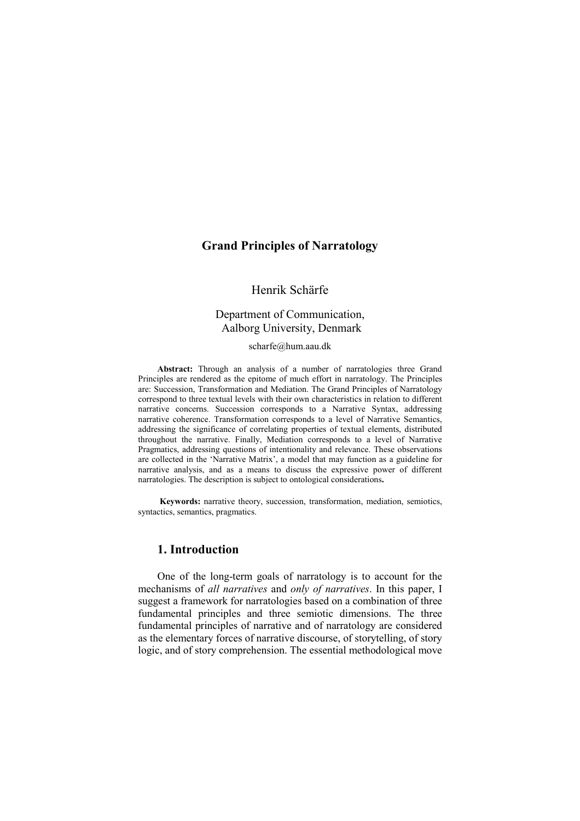## Grand Principles of Narratology

### Henrik Schärfe

### Department of Communication, Aalborg University, Denmark

#### scharfe@hum.aau.dk

Abstract: Through an analysis of a number of narratologies three Grand Principles are rendered as the epitome of much effort in narratology. The Principles are: Succession, Transformation and Mediation. The Grand Principles of Narratology correspond to three textual levels with their own characteristics in relation to different narrative concerns. Succession corresponds to a Narrative Syntax, addressing narrative coherence. Transformation corresponds to a level of Narrative Semantics, addressing the significance of correlating properties of textual elements, distributed throughout the narrative. Finally, Mediation corresponds to a level of Narrative Pragmatics, addressing questions of intentionality and relevance. These observations are collected in the 'Narrative Matrix', a model that may function as a guideline for narrative analysis, and as a means to discuss the expressive power of different narratologies. The description is subject to ontological considerations.

 Keywords: narrative theory, succession, transformation, mediation, semiotics, syntactics, semantics, pragmatics.

### 1. Introduction

One of the long-term goals of narratology is to account for the mechanisms of all narratives and only of narratives. In this paper, I suggest a framework for narratologies based on a combination of three fundamental principles and three semiotic dimensions. The three fundamental principles of narrative and of narratology are considered as the elementary forces of narrative discourse, of storytelling, of story logic, and of story comprehension. The essential methodological move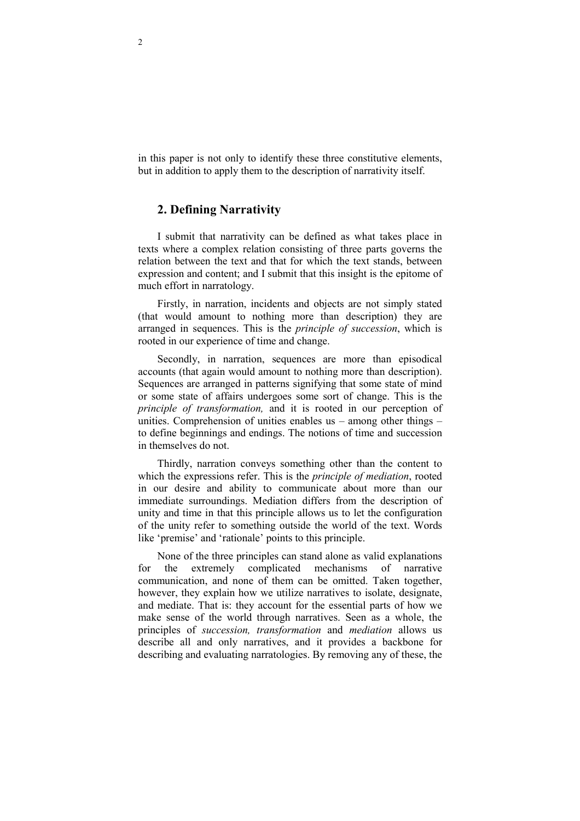in this paper is not only to identify these three constitutive elements, but in addition to apply them to the description of narrativity itself.

### 2. Defining Narrativity

I submit that narrativity can be defined as what takes place in texts where a complex relation consisting of three parts governs the relation between the text and that for which the text stands, between expression and content; and I submit that this insight is the epitome of much effort in narratology.

Firstly, in narration, incidents and objects are not simply stated (that would amount to nothing more than description) they are arranged in sequences. This is the principle of succession, which is rooted in our experience of time and change.

Secondly, in narration, sequences are more than episodical accounts (that again would amount to nothing more than description). Sequences are arranged in patterns signifying that some state of mind or some state of affairs undergoes some sort of change. This is the principle of transformation, and it is rooted in our perception of unities. Comprehension of unities enables us – among other things – to define beginnings and endings. The notions of time and succession in themselves do not.

Thirdly, narration conveys something other than the content to which the expressions refer. This is the *principle of mediation*, rooted in our desire and ability to communicate about more than our immediate surroundings. Mediation differs from the description of unity and time in that this principle allows us to let the configuration of the unity refer to something outside the world of the text. Words like 'premise' and 'rationale' points to this principle.

None of the three principles can stand alone as valid explanations for the extremely complicated mechanisms of narrative communication, and none of them can be omitted. Taken together, however, they explain how we utilize narratives to isolate, designate, and mediate. That is: they account for the essential parts of how we make sense of the world through narratives. Seen as a whole, the principles of succession, transformation and mediation allows us describe all and only narratives, and it provides a backbone for describing and evaluating narratologies. By removing any of these, the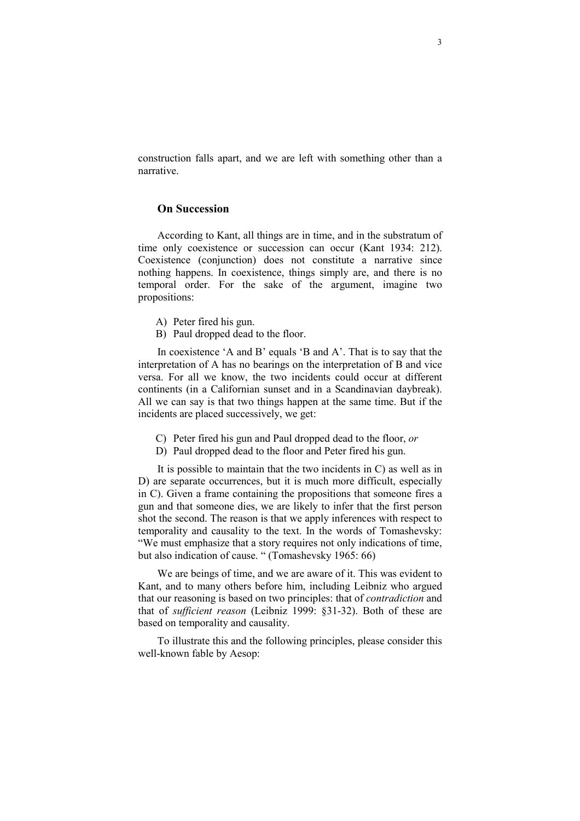construction falls apart, and we are left with something other than a narrative.

### On Succession

According to Kant, all things are in time, and in the substratum of time only coexistence or succession can occur (Kant 1934: 212). Coexistence (conjunction) does not constitute a narrative since nothing happens. In coexistence, things simply are, and there is no temporal order. For the sake of the argument, imagine two propositions:

- A) Peter fired his gun.
- B) Paul dropped dead to the floor.

In coexistence 'A and B' equals 'B and A'. That is to say that the interpretation of A has no bearings on the interpretation of B and vice versa. For all we know, the two incidents could occur at different continents (in a Californian sunset and in a Scandinavian daybreak). All we can say is that two things happen at the same time. But if the incidents are placed successively, we get:

- C) Peter fired his gun and Paul dropped dead to the floor, or
- D) Paul dropped dead to the floor and Peter fired his gun.

It is possible to maintain that the two incidents in C) as well as in D) are separate occurrences, but it is much more difficult, especially in C). Given a frame containing the propositions that someone fires a gun and that someone dies, we are likely to infer that the first person shot the second. The reason is that we apply inferences with respect to temporality and causality to the text. In the words of Tomashevsky: "We must emphasize that a story requires not only indications of time, but also indication of cause. " (Tomashevsky 1965: 66)

We are beings of time, and we are aware of it. This was evident to Kant, and to many others before him, including Leibniz who argued that our reasoning is based on two principles: that of contradiction and that of sufficient reason (Leibniz 1999: §31-32). Both of these are based on temporality and causality.

To illustrate this and the following principles, please consider this well-known fable by Aesop: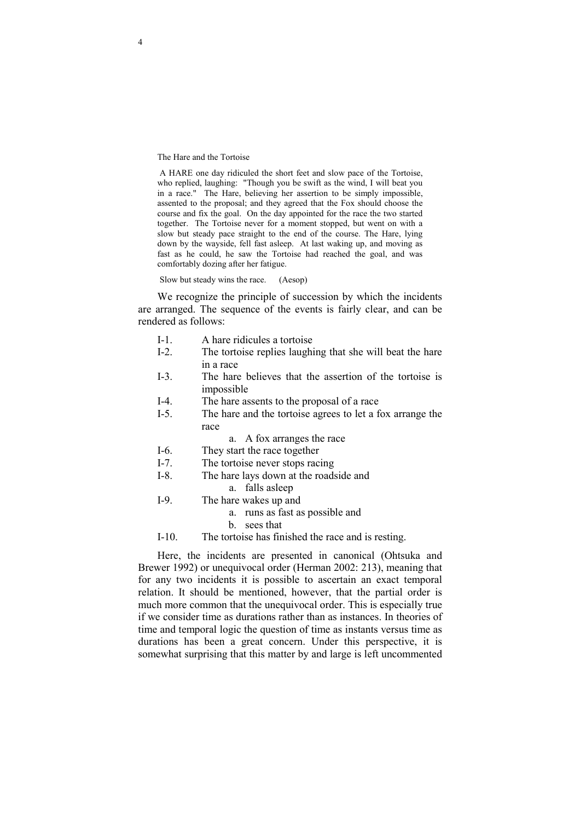The Hare and the Tortoise

 A HARE one day ridiculed the short feet and slow pace of the Tortoise, who replied, laughing: "Though you be swift as the wind, I will beat you in a race." The Hare, believing her assertion to be simply impossible, assented to the proposal; and they agreed that the Fox should choose the course and fix the goal. On the day appointed for the race the two started together. The Tortoise never for a moment stopped, but went on with a slow but steady pace straight to the end of the course. The Hare, lying down by the wayside, fell fast asleep. At last waking up, and moving as fast as he could, he saw the Tortoise had reached the goal, and was comfortably dozing after her fatigue.

Slow but steady wins the race. (Aesop)

We recognize the principle of succession by which the incidents are arranged. The sequence of the events is fairly clear, and can be rendered as follows:

- I-1. A hare ridicules a tortoise<br>I-2. The tortoise replies laughi
- The tortoise replies laughing that she will beat the hare in a race
- I-3. The hare believes that the assertion of the tortoise is impossible
- I-4. The hare assents to the proposal of a race
- I-5. The hare and the tortoise agrees to let a fox arrange the race
	- a. A fox arranges the race
- I-6. They start the race together
- I-7. The tortoise never stops racing
- I-8. The hare lays down at the roadside and
	- a. falls asleep
- I-9. The hare wakes up and
	- a. runs as fast as possible and
	- b. sees that
- I-10. The tortoise has finished the race and is resting.

Here, the incidents are presented in canonical (Ohtsuka and Brewer 1992) or unequivocal order (Herman 2002: 213), meaning that for any two incidents it is possible to ascertain an exact temporal relation. It should be mentioned, however, that the partial order is much more common that the unequivocal order. This is especially true if we consider time as durations rather than as instances. In theories of time and temporal logic the question of time as instants versus time as durations has been a great concern. Under this perspective, it is somewhat surprising that this matter by and large is left uncommented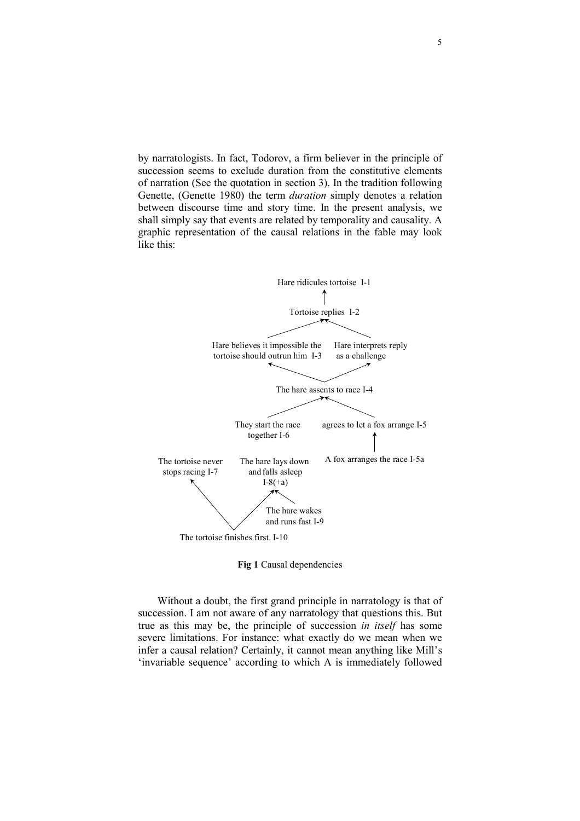by narratologists. In fact, Todorov, a firm believer in the principle of succession seems to exclude duration from the constitutive elements of narration (See the quotation in section 3). In the tradition following Genette, (Genette 1980) the term duration simply denotes a relation between discourse time and story time. In the present analysis, we shall simply say that events are related by temporality and causality. A graphic representation of the causal relations in the fable may look like this:



Fig 1 Causal dependencies

Without a doubt, the first grand principle in narratology is that of succession. I am not aware of any narratology that questions this. But true as this may be, the principle of succession in itself has some severe limitations. For instance: what exactly do we mean when we infer a causal relation? Certainly, it cannot mean anything like Mill's 'invariable sequence' according to which A is immediately followed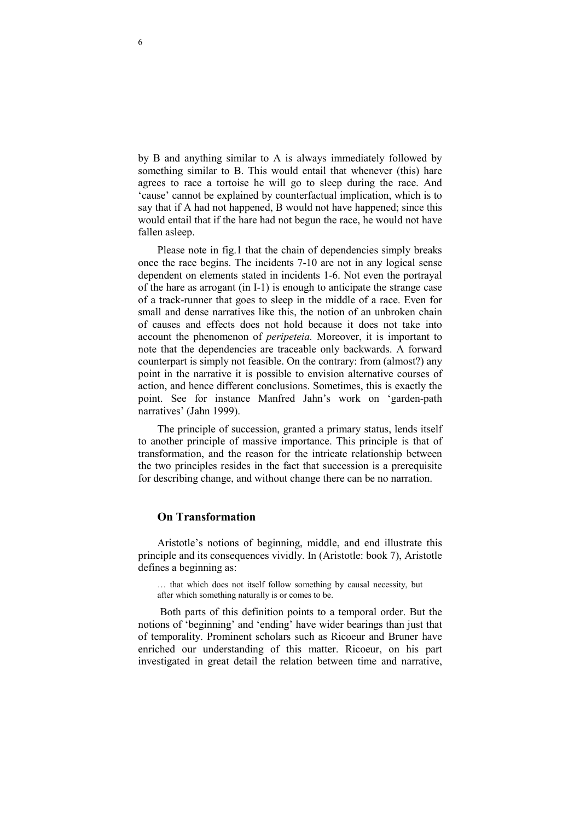by B and anything similar to A is always immediately followed by something similar to B. This would entail that whenever (this) hare agrees to race a tortoise he will go to sleep during the race. And 'cause' cannot be explained by counterfactual implication, which is to say that if A had not happened, B would not have happened; since this would entail that if the hare had not begun the race, he would not have fallen asleep.

Please note in fig.1 that the chain of dependencies simply breaks once the race begins. The incidents 7-10 are not in any logical sense dependent on elements stated in incidents 1-6. Not even the portrayal of the hare as arrogant (in I-1) is enough to anticipate the strange case of a track-runner that goes to sleep in the middle of a race. Even for small and dense narratives like this, the notion of an unbroken chain of causes and effects does not hold because it does not take into account the phenomenon of peripeteia. Moreover, it is important to note that the dependencies are traceable only backwards. A forward counterpart is simply not feasible. On the contrary: from (almost?) any point in the narrative it is possible to envision alternative courses of action, and hence different conclusions. Sometimes, this is exactly the point. See for instance Manfred Jahn's work on 'garden-path narratives' (Jahn 1999).

The principle of succession, granted a primary status, lends itself to another principle of massive importance. This principle is that of transformation, and the reason for the intricate relationship between the two principles resides in the fact that succession is a prerequisite for describing change, and without change there can be no narration.

#### On Transformation

Aristotle's notions of beginning, middle, and end illustrate this principle and its consequences vividly. In (Aristotle: book 7), Aristotle defines a beginning as:

… that which does not itself follow something by causal necessity, but after which something naturally is or comes to be.

 Both parts of this definition points to a temporal order. But the notions of 'beginning' and 'ending' have wider bearings than just that of temporality. Prominent scholars such as Ricoeur and Bruner have enriched our understanding of this matter. Ricoeur, on his part investigated in great detail the relation between time and narrative,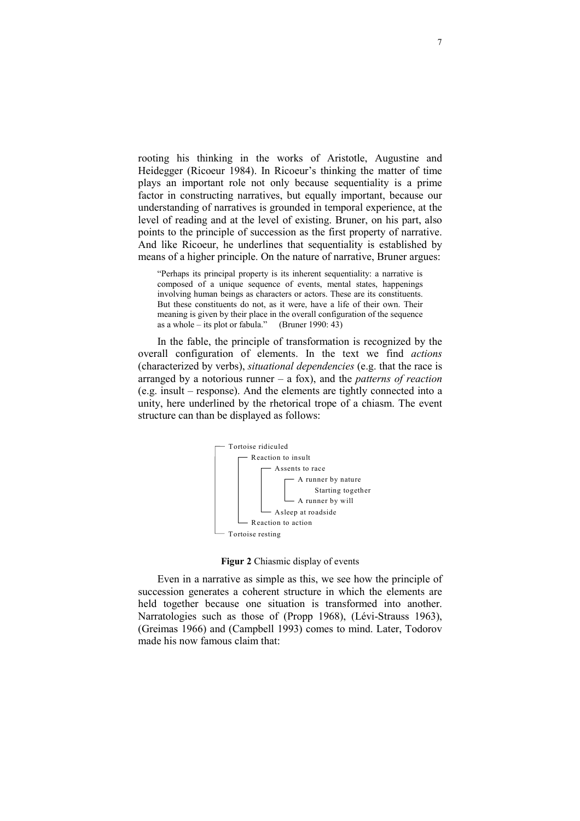rooting his thinking in the works of Aristotle, Augustine and Heidegger (Ricoeur 1984). In Ricoeur's thinking the matter of time plays an important role not only because sequentiality is a prime factor in constructing narratives, but equally important, because our understanding of narratives is grounded in temporal experience, at the level of reading and at the level of existing. Bruner, on his part, also points to the principle of succession as the first property of narrative. And like Ricoeur, he underlines that sequentiality is established by means of a higher principle. On the nature of narrative, Bruner argues:

"Perhaps its principal property is its inherent sequentiality: a narrative is composed of a unique sequence of events, mental states, happenings involving human beings as characters or actors. These are its constituents. But these constituents do not, as it were, have a life of their own. Their meaning is given by their place in the overall configuration of the sequence as a whole – its plot or fabula." (Bruner 1990: 43)

In the fable, the principle of transformation is recognized by the overall configuration of elements. In the text we find actions (characterized by verbs), situational dependencies (e.g. that the race is arranged by a notorious runner – a fox), and the *patterns of reaction* (e.g. insult – response). And the elements are tightly connected into a unity, here underlined by the rhetorical trope of a chiasm. The event structure can than be displayed as follows:



Figur 2 Chiasmic display of events

Even in a narrative as simple as this, we see how the principle of succession generates a coherent structure in which the elements are held together because one situation is transformed into another. Narratologies such as those of (Propp 1968), (Lévi-Strauss 1963), (Greimas 1966) and (Campbell 1993) comes to mind. Later, Todorov made his now famous claim that: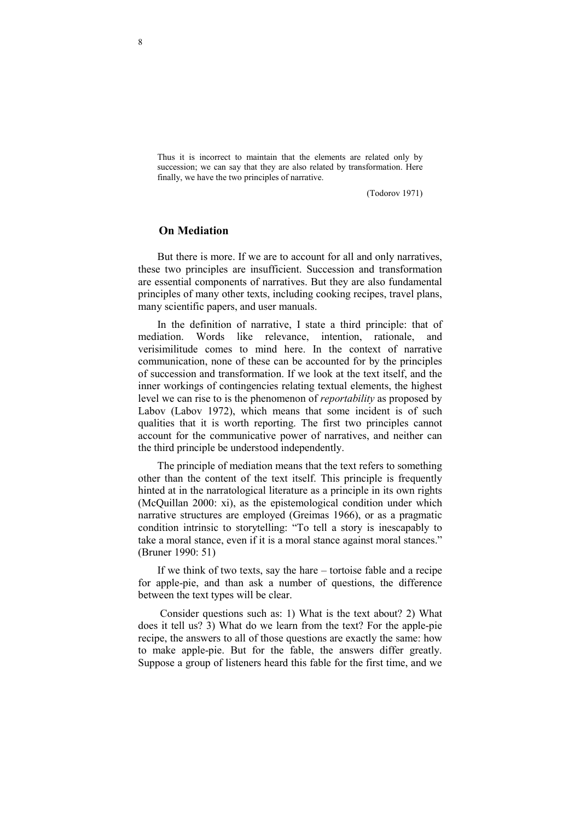Thus it is incorrect to maintain that the elements are related only by succession; we can say that they are also related by transformation. Here finally, we have the two principles of narrative.

(Todorov 1971)

### On Mediation

But there is more. If we are to account for all and only narratives, these two principles are insufficient. Succession and transformation are essential components of narratives. But they are also fundamental principles of many other texts, including cooking recipes, travel plans, many scientific papers, and user manuals.

In the definition of narrative, I state a third principle: that of mediation. Words like relevance, intention, rationale, and verisimilitude comes to mind here. In the context of narrative communication, none of these can be accounted for by the principles of succession and transformation. If we look at the text itself, and the inner workings of contingencies relating textual elements, the highest level we can rise to is the phenomenon of reportability as proposed by Labov (Labov 1972), which means that some incident is of such qualities that it is worth reporting. The first two principles cannot account for the communicative power of narratives, and neither can the third principle be understood independently.

The principle of mediation means that the text refers to something other than the content of the text itself. This principle is frequently hinted at in the narratological literature as a principle in its own rights (McQuillan 2000: xi), as the epistemological condition under which narrative structures are employed (Greimas 1966), or as a pragmatic condition intrinsic to storytelling: "To tell a story is inescapably to take a moral stance, even if it is a moral stance against moral stances." (Bruner 1990: 51)

If we think of two texts, say the hare – tortoise fable and a recipe for apple-pie, and than ask a number of questions, the difference between the text types will be clear.

 Consider questions such as: 1) What is the text about? 2) What does it tell us? 3) What do we learn from the text? For the apple-pie recipe, the answers to all of those questions are exactly the same: how to make apple-pie. But for the fable, the answers differ greatly. Suppose a group of listeners heard this fable for the first time, and we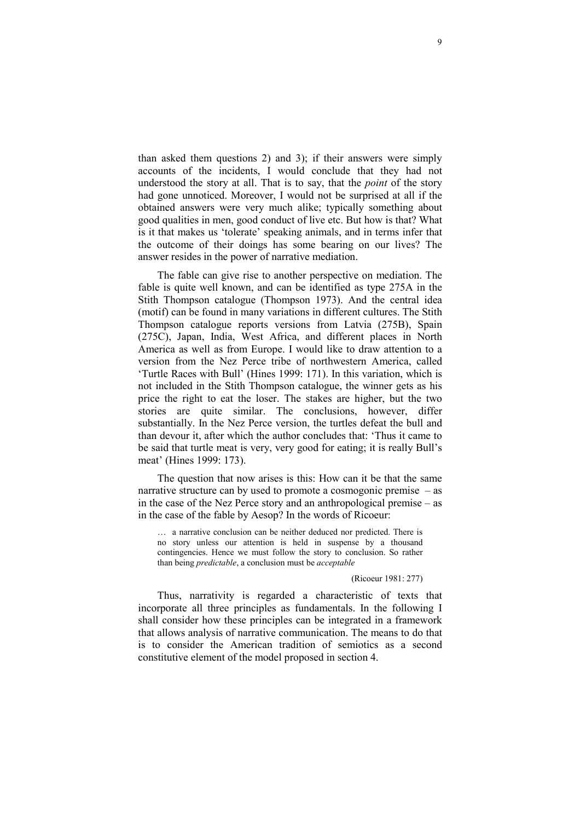than asked them questions 2) and 3); if their answers were simply accounts of the incidents, I would conclude that they had not understood the story at all. That is to say, that the *point* of the story had gone unnoticed. Moreover, I would not be surprised at all if the obtained answers were very much alike; typically something about good qualities in men, good conduct of live etc. But how is that? What is it that makes us 'tolerate' speaking animals, and in terms infer that the outcome of their doings has some bearing on our lives? The answer resides in the power of narrative mediation.

The fable can give rise to another perspective on mediation. The fable is quite well known, and can be identified as type 275A in the Stith Thompson catalogue (Thompson 1973). And the central idea (motif) can be found in many variations in different cultures. The Stith Thompson catalogue reports versions from Latvia (275B), Spain (275C), Japan, India, West Africa, and different places in North America as well as from Europe. I would like to draw attention to a version from the Nez Perce tribe of northwestern America, called 'Turtle Races with Bull' (Hines 1999: 171). In this variation, which is not included in the Stith Thompson catalogue, the winner gets as his price the right to eat the loser. The stakes are higher, but the two stories are quite similar. The conclusions, however, differ substantially. In the Nez Perce version, the turtles defeat the bull and than devour it, after which the author concludes that: 'Thus it came to be said that turtle meat is very, very good for eating; it is really Bull's meat' (Hines 1999: 173).

The question that now arises is this: How can it be that the same narrative structure can by used to promote a cosmogonic premise – as in the case of the Nez Perce story and an anthropological premise – as in the case of the fable by Aesop? In the words of Ricoeur:

… a narrative conclusion can be neither deduced nor predicted. There is no story unless our attention is held in suspense by a thousand contingencies. Hence we must follow the story to conclusion. So rather than being *predictable*, a conclusion must be *acceptable* 

#### (Ricoeur 1981: 277)

Thus, narrativity is regarded a characteristic of texts that incorporate all three principles as fundamentals. In the following I shall consider how these principles can be integrated in a framework that allows analysis of narrative communication. The means to do that is to consider the American tradition of semiotics as a second constitutive element of the model proposed in section 4.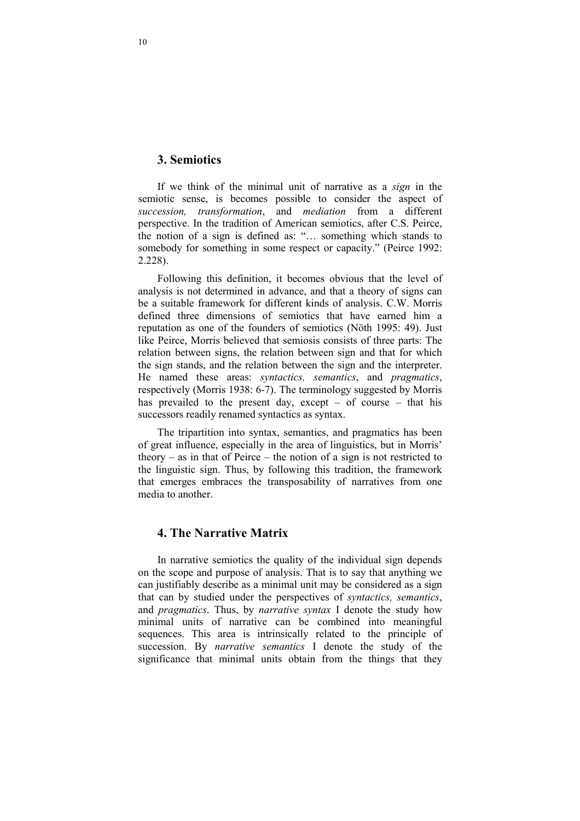## 3. Semiotics

If we think of the minimal unit of narrative as a sign in the semiotic sense, is becomes possible to consider the aspect of succession, transformation, and mediation from a different perspective. In the tradition of American semiotics, after C.S. Peirce, the notion of a sign is defined as: "… something which stands to somebody for something in some respect or capacity." (Peirce 1992: 2.228).

Following this definition, it becomes obvious that the level of analysis is not determined in advance, and that a theory of signs can be a suitable framework for different kinds of analysis. C.W. Morris defined three dimensions of semiotics that have earned him a reputation as one of the founders of semiotics (Nöth 1995: 49). Just like Peirce, Morris believed that semiosis consists of three parts: The relation between signs, the relation between sign and that for which the sign stands, and the relation between the sign and the interpreter. He named these areas: syntactics, semantics, and pragmatics, respectively (Morris 1938: 6-7). The terminology suggested by Morris has prevailed to the present day, except – of course – that his successors readily renamed syntactics as syntax.

The tripartition into syntax, semantics, and pragmatics has been of great influence, especially in the area of linguistics, but in Morris' theory – as in that of Peirce – the notion of a sign is not restricted to the linguistic sign. Thus, by following this tradition, the framework that emerges embraces the transposability of narratives from one media to another.

## 4. The Narrative Matrix

In narrative semiotics the quality of the individual sign depends on the scope and purpose of analysis. That is to say that anything we can justifiably describe as a minimal unit may be considered as a sign that can by studied under the perspectives of syntactics, semantics, and pragmatics. Thus, by narrative syntax I denote the study how minimal units of narrative can be combined into meaningful sequences. This area is intrinsically related to the principle of succession. By *narrative semantics* I denote the study of the significance that minimal units obtain from the things that they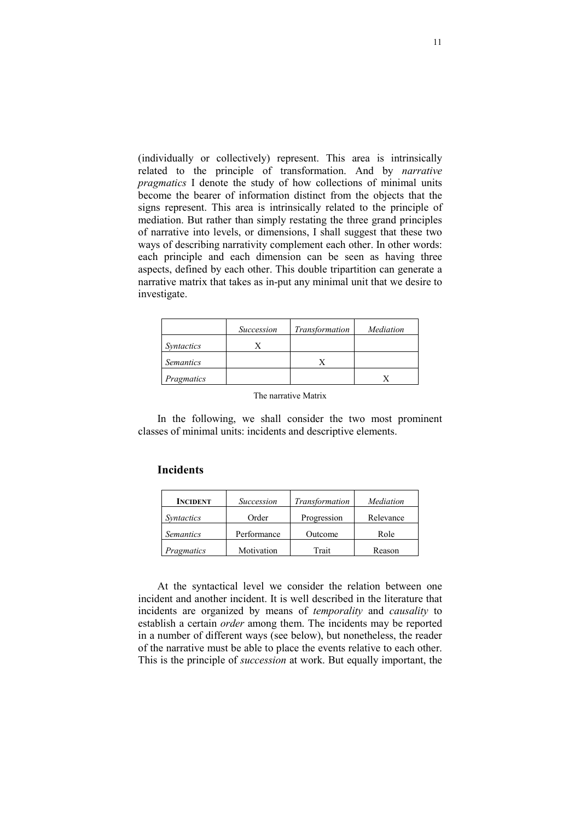(individually or collectively) represent. This area is intrinsically related to the principle of transformation. And by narrative pragmatics I denote the study of how collections of minimal units become the bearer of information distinct from the objects that the signs represent. This area is intrinsically related to the principle of mediation. But rather than simply restating the three grand principles of narrative into levels, or dimensions, I shall suggest that these two ways of describing narrativity complement each other. In other words: each principle and each dimension can be seen as having three aspects, defined by each other. This double tripartition can generate a narrative matrix that takes as in-put any minimal unit that we desire to investigate.

|                   | <b>Succession</b> | Transformation | Mediation |
|-------------------|-------------------|----------------|-----------|
| <i>Syntactics</i> |                   |                |           |
| <i>Semantics</i>  |                   |                |           |
| Pragmatics        |                   |                |           |

In the following, we shall consider the two most prominent classes of minimal units: incidents and descriptive elements.

### Incidents

| <b>INCIDENT</b>   | <b>Succession</b> | Transformation | Mediation |
|-------------------|-------------------|----------------|-----------|
| <i>Syntactics</i> | Order             | Progression    | Relevance |
| <i>Semantics</i>  | Performance       | Outcome        | Role      |
| Pragmatics        | Motivation        | Trait          | Reason    |

At the syntactical level we consider the relation between one incident and another incident. It is well described in the literature that incidents are organized by means of temporality and causality to establish a certain order among them. The incidents may be reported in a number of different ways (see below), but nonetheless, the reader of the narrative must be able to place the events relative to each other. This is the principle of succession at work. But equally important, the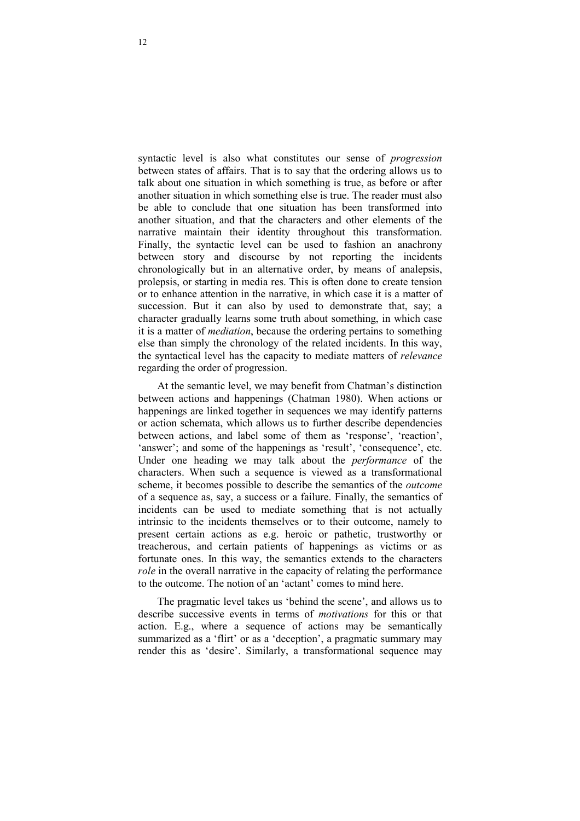syntactic level is also what constitutes our sense of progression between states of affairs. That is to say that the ordering allows us to talk about one situation in which something is true, as before or after another situation in which something else is true. The reader must also be able to conclude that one situation has been transformed into another situation, and that the characters and other elements of the narrative maintain their identity throughout this transformation. Finally, the syntactic level can be used to fashion an anachrony between story and discourse by not reporting the incidents chronologically but in an alternative order, by means of analepsis, prolepsis, or starting in media res. This is often done to create tension or to enhance attention in the narrative, in which case it is a matter of succession. But it can also by used to demonstrate that, say; a character gradually learns some truth about something, in which case it is a matter of mediation, because the ordering pertains to something else than simply the chronology of the related incidents. In this way, the syntactical level has the capacity to mediate matters of relevance regarding the order of progression.

At the semantic level, we may benefit from Chatman's distinction between actions and happenings (Chatman 1980). When actions or happenings are linked together in sequences we may identify patterns or action schemata, which allows us to further describe dependencies between actions, and label some of them as 'response', 'reaction', 'answer'; and some of the happenings as 'result', 'consequence', etc. Under one heading we may talk about the performance of the characters. When such a sequence is viewed as a transformational scheme, it becomes possible to describe the semantics of the outcome of a sequence as, say, a success or a failure. Finally, the semantics of incidents can be used to mediate something that is not actually intrinsic to the incidents themselves or to their outcome, namely to present certain actions as e.g. heroic or pathetic, trustworthy or treacherous, and certain patients of happenings as victims or as fortunate ones. In this way, the semantics extends to the characters role in the overall narrative in the capacity of relating the performance to the outcome. The notion of an 'actant' comes to mind here.

The pragmatic level takes us 'behind the scene', and allows us to describe successive events in terms of motivations for this or that action. E.g., where a sequence of actions may be semantically summarized as a 'flirt' or as a 'deception', a pragmatic summary may render this as 'desire'. Similarly, a transformational sequence may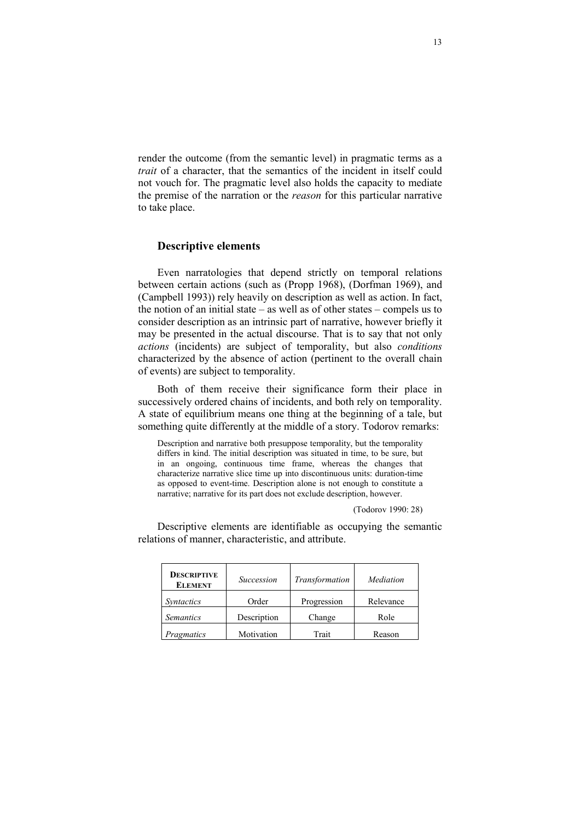render the outcome (from the semantic level) in pragmatic terms as a trait of a character, that the semantics of the incident in itself could not vouch for. The pragmatic level also holds the capacity to mediate the premise of the narration or the reason for this particular narrative to take place.

#### Descriptive elements

Even narratologies that depend strictly on temporal relations between certain actions (such as (Propp 1968), (Dorfman 1969), and (Campbell 1993)) rely heavily on description as well as action. In fact, the notion of an initial state – as well as of other states – compels us to consider description as an intrinsic part of narrative, however briefly it may be presented in the actual discourse. That is to say that not only actions (incidents) are subject of temporality, but also conditions characterized by the absence of action (pertinent to the overall chain of events) are subject to temporality.

Both of them receive their significance form their place in successively ordered chains of incidents, and both rely on temporality. A state of equilibrium means one thing at the beginning of a tale, but something quite differently at the middle of a story. Todorov remarks:

Description and narrative both presuppose temporality, but the temporality differs in kind. The initial description was situated in time, to be sure, but in an ongoing, continuous time frame, whereas the changes that characterize narrative slice time up into discontinuous units: duration-time as opposed to event-time. Description alone is not enough to constitute a narrative; narrative for its part does not exclude description, however.

#### (Todorov 1990: 28)

Descriptive elements are identifiable as occupying the semantic relations of manner, characteristic, and attribute.

| <b>DESCRIPTIVE</b><br><b>ELEMENT</b> | <b>Succession</b> | Transformation | Mediation |
|--------------------------------------|-------------------|----------------|-----------|
| Syntactics                           | Order             | Progression    | Relevance |
| <i>Semantics</i>                     | Description       | Change         | Role      |
| Pragmatics                           | Motivation        | Trait          | Reason    |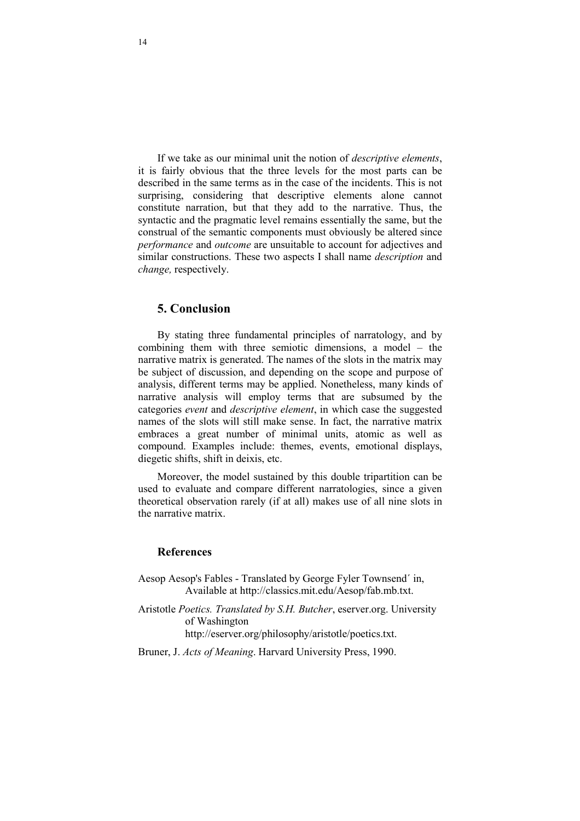If we take as our minimal unit the notion of descriptive elements, it is fairly obvious that the three levels for the most parts can be described in the same terms as in the case of the incidents. This is not surprising, considering that descriptive elements alone cannot constitute narration, but that they add to the narrative. Thus, the syntactic and the pragmatic level remains essentially the same, but the construal of the semantic components must obviously be altered since performance and outcome are unsuitable to account for adjectives and similar constructions. These two aspects I shall name *description* and change, respectively.

## 5. Conclusion

By stating three fundamental principles of narratology, and by combining them with three semiotic dimensions, a model – the narrative matrix is generated. The names of the slots in the matrix may be subject of discussion, and depending on the scope and purpose of analysis, different terms may be applied. Nonetheless, many kinds of narrative analysis will employ terms that are subsumed by the categories event and descriptive element, in which case the suggested names of the slots will still make sense. In fact, the narrative matrix embraces a great number of minimal units, atomic as well as compound. Examples include: themes, events, emotional displays, diegetic shifts, shift in deixis, etc.

Moreover, the model sustained by this double tripartition can be used to evaluate and compare different narratologies, since a given theoretical observation rarely (if at all) makes use of all nine slots in the narrative matrix.

### References

- Aesop Aesop's Fables Translated by George Fyler Townsend´ in, Available at http://classics.mit.edu/Aesop/fab.mb.txt.
- Aristotle Poetics. Translated by S.H. Butcher, eserver.org. University of Washington http://eserver.org/philosophy/aristotle/poetics.txt.
- Bruner, J. Acts of Meaning. Harvard University Press, 1990.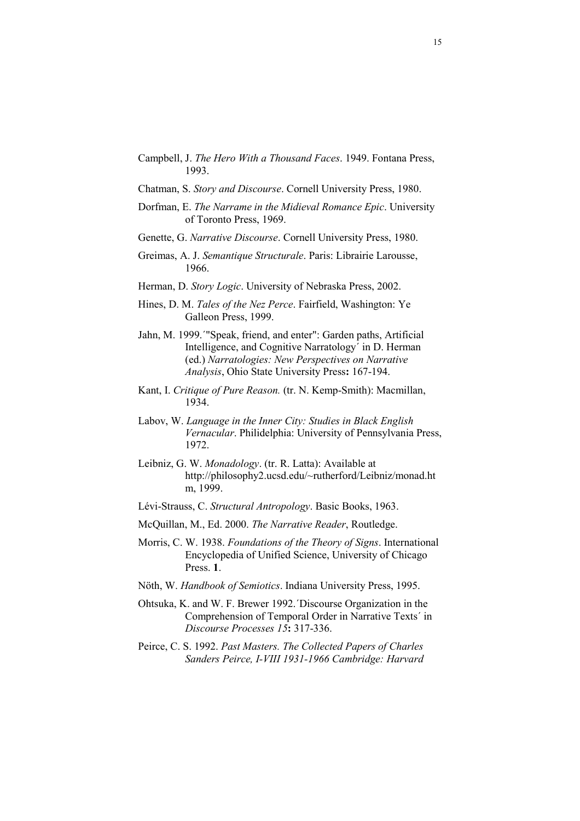- Campbell, J. The Hero With a Thousand Faces. 1949. Fontana Press, 1993.
- Chatman, S. Story and Discourse. Cornell University Press, 1980.
- Dorfman, E. The Narrame in the Midieval Romance Epic. University of Toronto Press, 1969.
- Genette, G. Narrative Discourse. Cornell University Press, 1980.
- Greimas, A. J. Semantique Structurale. Paris: Librairie Larousse, 1966.
- Herman, D. Story Logic. University of Nebraska Press, 2002.
- Hines, D. M. Tales of the Nez Perce. Fairfield, Washington: Ye Galleon Press, 1999.
- Jahn, M. 1999.´"Speak, friend, and enter": Garden paths, Artificial Intelligence, and Cognitive Narratology´ in D. Herman (ed.) Narratologies: New Perspectives on Narrative Analysis, Ohio State University Press: 167-194.
- Kant, I. Critique of Pure Reason. (tr. N. Kemp-Smith): Macmillan, 1934.
- Labov, W. Language in the Inner City: Studies in Black English Vernacular. Philidelphia: University of Pennsylvania Press, 1972.
- Leibniz, G. W. Monadology. (tr. R. Latta): Available at http://philosophy2.ucsd.edu/~rutherford/Leibniz/monad.ht m, 1999.
- Lévi-Strauss, C. Structural Antropology. Basic Books, 1963.
- McQuillan, M., Ed. 2000. The Narrative Reader, Routledge.
- Morris, C. W. 1938. Foundations of the Theory of Signs. International Encyclopedia of Unified Science, University of Chicago Press. 1.
- Nöth, W. Handbook of Semiotics. Indiana University Press, 1995.
- Ohtsuka, K. and W. F. Brewer 1992.´Discourse Organization in the Comprehension of Temporal Order in Narrative Texts´ in Discourse Processes 15: 317-336.
- Peirce, C. S. 1992. Past Masters. The Collected Papers of Charles Sanders Peirce, I-VIII 1931-1966 Cambridge: Harvard